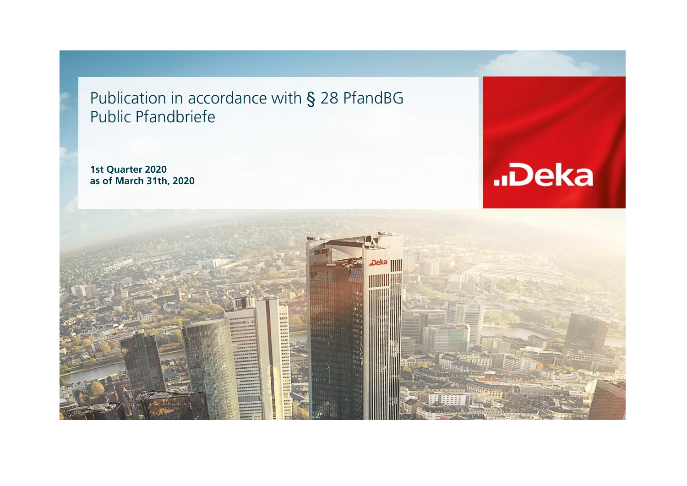Publication in accordance with § 28 PfandBG Public Pfandbriefe

**1st Quarter 2020 as of March 31th, 2020**



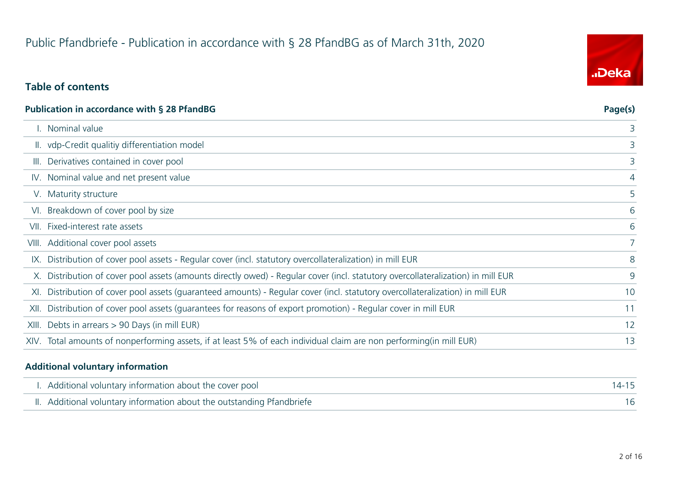# Public Pfandbriefe - Publication in accordance with § 28 PfandBG as of March 31th, 2020

### **Table of contents**

| <b>Publication in accordance with § 28 PfandBG</b>                                                                               | Page(s) |
|----------------------------------------------------------------------------------------------------------------------------------|---------|
| I. Nominal value                                                                                                                 | 3       |
| II. vdp-Credit qualitiy differentiation model                                                                                    | 3       |
| III. Derivatives contained in cover pool                                                                                         | 3       |
| IV. Nominal value and net present value                                                                                          | 4       |
| V. Maturity structure                                                                                                            | 5       |
| VI. Breakdown of cover pool by size                                                                                              | 6       |
| VII. Fixed-interest rate assets                                                                                                  | 6       |
| VIII. Additional cover pool assets                                                                                               |         |
| IX. Distribution of cover pool assets - Regular cover (incl. statutory overcollateralization) in mill EUR                        | 8       |
| X. Distribution of cover pool assets (amounts directly owed) - Regular cover (incl. statutory overcollateralization) in mill EUR | 9       |
| XI. Distribution of cover pool assets (guaranteed amounts) - Regular cover (incl. statutory overcollateralization) in mill EUR   | 10      |
| XII. Distribution of cover pool assets (guarantees for reasons of export promotion) - Regular cover in mill EUR                  | 11      |
| XIII. Debts in arrears > 90 Days (in mill EUR)                                                                                   | 12      |
| XIV. Total amounts of nonperforming assets, if at least 5% of each individual claim are non performing (in mill EUR)             | 13      |
|                                                                                                                                  |         |

#### **Additional voluntary information**

| I. Additional voluntary information about the cover pool               | $14 - 15$ |
|------------------------------------------------------------------------|-----------|
| II. Additional voluntary information about the outstanding Pfandbriefe |           |

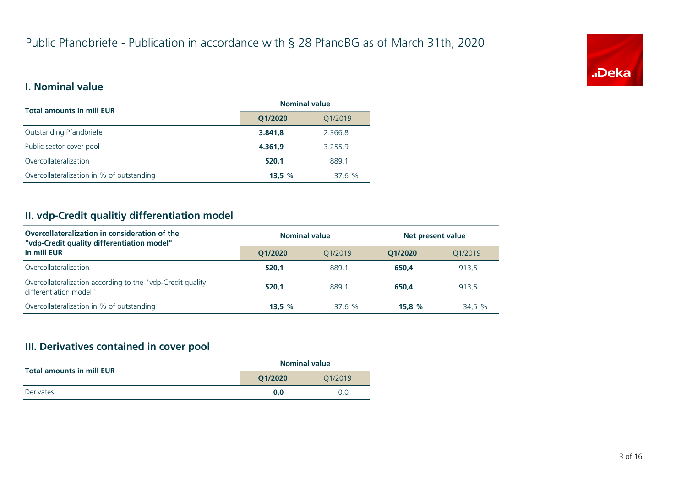

### **I. Nominal value**

| <b>Total amounts in mill EUR</b>          | <b>Nominal value</b> |         |
|-------------------------------------------|----------------------|---------|
|                                           | Q1/2020              | Q1/2019 |
| Outstanding Pfandbriefe                   | 3.841.8              | 2.366.8 |
| Public sector cover pool                  | 4.361.9              | 3.255,9 |
| Overcollateralization                     | 520.1                | 889.1   |
| Overcollateralization in % of outstanding | 13,5%                | 37,6 %  |

### **II. vdp-Credit qualitiy differentiation model**

| Overcollateralization in consideration of the<br>"vdp-Credit quality differentiation model" | <b>Nominal value</b> |         | Net present value |         |
|---------------------------------------------------------------------------------------------|----------------------|---------|-------------------|---------|
| in mill EUR                                                                                 | O1/2020              | 01/2019 | O1/2020           | 01/2019 |
| Overcollateralization                                                                       | 520.1                | 889.1   | 650.4             | 913,5   |
| Overcollateralization according to the "vdp-Credit quality"<br>differentiation model"       | 520.1                | 889.1   | 650.4             | 913.5   |
| Overcollateralization in % of outstanding                                                   | 13.5%                | 37.6%   | 15.8%             | 34,5 %  |

#### **III. Derivatives contained in cover pool**

| <b>Total amounts in mill EUR</b> | <b>Nominal value</b> |         |  |
|----------------------------------|----------------------|---------|--|
|                                  | O1/2020              | 01/2019 |  |
| <b>Derivates</b>                 | 0.0                  | 0.0     |  |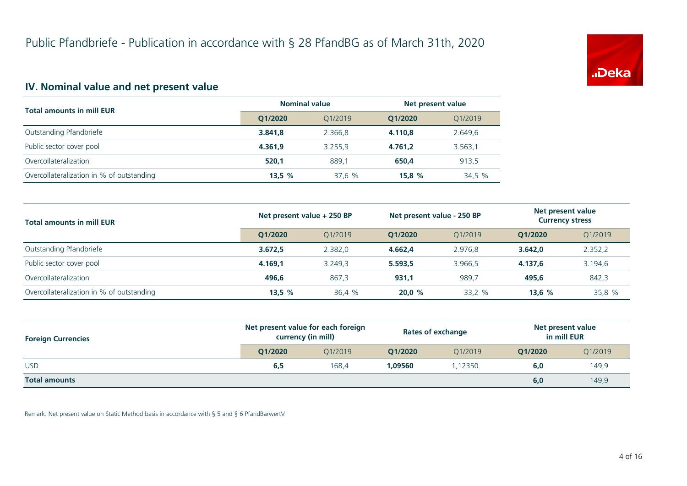

#### **IV. Nominal value and net present value**

| <b>Total amounts in mill EUR</b>          | <b>Nominal value</b> |         | Net present value |         |
|-------------------------------------------|----------------------|---------|-------------------|---------|
|                                           | Q1/2020              | 01/2019 | O1/2020           | Q1/2019 |
| Outstanding Pfandbriefe                   | 3.841.8              | 2.366.8 | 4.110.8           | 2.649.6 |
| Public sector cover pool                  | 4.361.9              | 3.255.9 | 4.761.2           | 3.563,1 |
| Overcollateralization                     | 520.1                | 889.1   | 650.4             | 913.5   |
| Overcollateralization in % of outstanding | 13.5%                | 37,6 %  | 15.8%             | 34,5 %  |

| <b>Total amounts in mill EUR</b>          | Net present value + 250 BP |         | Net present value - 250 BP |                      | Net present value<br><b>Currency stress</b> |         |
|-------------------------------------------|----------------------------|---------|----------------------------|----------------------|---------------------------------------------|---------|
|                                           | O1/2020                    | 01/2019 | O1/2020                    | O <sub>1</sub> /2019 | O1/2020                                     | 01/2019 |
| Outstanding Pfandbriefe                   | 3.672.5                    | 2.382.0 | 4.662,4                    | 2.976,8              | 3.642.0                                     | 2.352,2 |
| Public sector cover pool                  | 4.169.1                    | 3.249.3 | 5.593,5                    | 3.966.5              | 4.137.6                                     | 3.194,6 |
| Overcollateralization                     | 496.6                      | 867.3   | 931,1                      | 989,7                | 495.6                                       | 842,3   |
| Overcollateralization in % of outstanding | 13,5%                      | 36.4 %  | 20.0%                      | 33,2 %               | 13.6%                                       | 35,8 %  |

| <b>Foreign Currencies</b> | Net present value for each foreign<br>currency (in mill) |         | <b>Rates of exchange</b> |                      | Net present value<br>in mill EUR |         |
|---------------------------|----------------------------------------------------------|---------|--------------------------|----------------------|----------------------------------|---------|
|                           | O1/2020                                                  | 01/2019 | O1/2020                  | O <sub>1</sub> /2019 | O1/2020                          | Q1/2019 |
| <b>USD</b>                | 6,5                                                      | 168.4   | 1.09560                  | .12350               | 6.0                              | 149,9   |
| <b>Total amounts</b>      |                                                          |         |                          |                      | 6,0                              | 149,9   |

Remark: Net present value on Static Method basis in accordance with § 5 and § 6 PfandBarwertV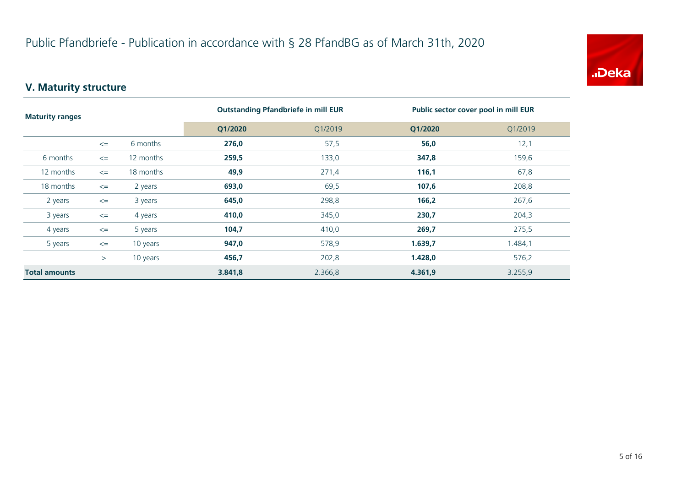

### **V. Maturity structure**

| <b>Maturity ranges</b> |        | <b>Outstanding Pfandbriefe in mill EUR</b> |         | Public sector cover pool in mill EUR |         |         |
|------------------------|--------|--------------------------------------------|---------|--------------------------------------|---------|---------|
|                        |        |                                            | Q1/2020 | Q1/2019                              | Q1/2020 | Q1/2019 |
|                        | $\leq$ | 6 months                                   | 276,0   | 57,5                                 | 56,0    | 12,1    |
| 6 months               | $\leq$ | 12 months                                  | 259,5   | 133,0                                | 347,8   | 159,6   |
| 12 months              | $\leq$ | 18 months                                  | 49,9    | 271,4                                | 116,1   | 67,8    |
| 18 months              | $\leq$ | 2 years                                    | 693,0   | 69,5                                 | 107,6   | 208,8   |
| 2 years                | $\leq$ | 3 years                                    | 645,0   | 298,8                                | 166,2   | 267,6   |
| 3 years                | $\leq$ | 4 years                                    | 410,0   | 345,0                                | 230,7   | 204,3   |
| 4 years                | $\leq$ | 5 years                                    | 104,7   | 410,0                                | 269,7   | 275,5   |
| 5 years                | $\leq$ | 10 years                                   | 947,0   | 578,9                                | 1.639,7 | 1.484,1 |
|                        | $\geq$ | 10 years                                   | 456,7   | 202,8                                | 1.428,0 | 576,2   |
| <b>Total amounts</b>   |        |                                            | 3.841,8 | 2.366,8                              | 4.361,9 | 3.255,9 |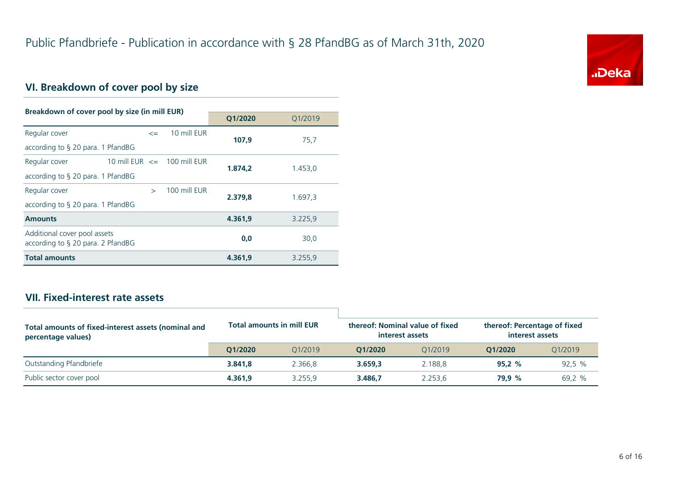

### **VI. Breakdown of cover pool by size**

| Breakdown of cover pool by size (in mill EUR)                        |                                 |               |              |         |         |
|----------------------------------------------------------------------|---------------------------------|---------------|--------------|---------|---------|
|                                                                      |                                 |               |              | Q1/2020 | O1/2019 |
| Regular cover                                                        |                                 | $\leq$        | 10 mill EUR  | 107.9   | 75,7    |
| according to $\S$ 20 para. 1 PfandBG                                 |                                 |               |              |         |         |
| Regular cover                                                        | 10 mill EUR $\leq$ 100 mill EUR |               |              | 1.874.2 | 1.453,0 |
| according to § 20 para. 1 PfandBG                                    |                                 |               |              |         |         |
| Regular cover                                                        |                                 | $\rightarrow$ | 100 mill FUR | 2.379.8 | 1.697,3 |
| according to $\S$ 20 para. 1 PfandBG                                 |                                 |               |              |         |         |
| <b>Amounts</b>                                                       |                                 |               |              | 4.361.9 | 3.225,9 |
| Additional cover pool assets<br>according to $\S$ 20 para. 2 PfandBG |                                 |               |              | 0.0     | 30,0    |
| <b>Total amounts</b>                                                 |                                 |               |              | 4.361.9 | 3.255,9 |

#### **VII. Fixed-interest rate assets**

| Total amounts of fixed-interest assets (nominal and<br>percentage values) | <b>Total amounts in mill EUR</b> |         | thereof: Nominal value of fixed<br>interest assets |         | thereof: Percentage of fixed<br>interest assets |         |
|---------------------------------------------------------------------------|----------------------------------|---------|----------------------------------------------------|---------|-------------------------------------------------|---------|
|                                                                           | O1/2020                          | 01/2019 | 01/2020                                            | 01/2019 | 01/2020                                         | 01/2019 |
| Outstanding Pfandbriefe                                                   | 3.841.8                          | 2.366.8 | 3.659.3                                            | 2.188.8 | 95.2%                                           | 92,5%   |
| Public sector cover pool                                                  | 4.361.9                          | 3.255.9 | 3.486.7                                            | 2.253.6 | 79.9 %                                          | 69,2 %  |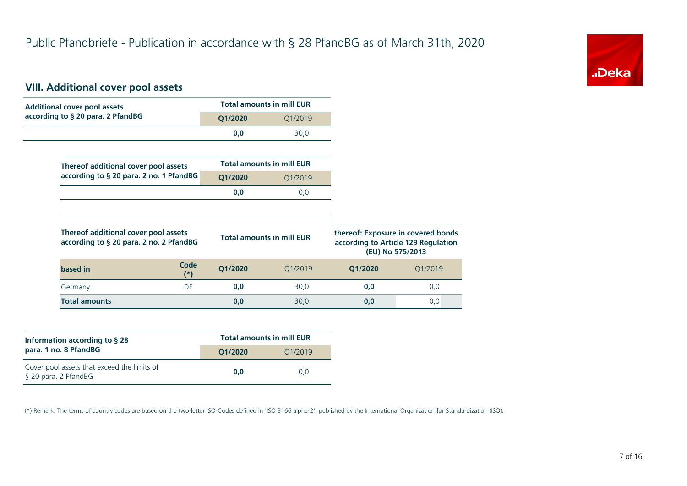

#### **VIII. Additional cover pool assets**

| <b>Additional cover pool assets</b>                                             |               |         | <b>Total amounts in mill EUR</b> |                                                                                               |         |
|---------------------------------------------------------------------------------|---------------|---------|----------------------------------|-----------------------------------------------------------------------------------------------|---------|
| according to § 20 para. 2 PfandBG                                               |               | Q1/2020 | Q1/2019                          |                                                                                               |         |
|                                                                                 |               | 0,0     | 30,0                             |                                                                                               |         |
|                                                                                 |               |         |                                  |                                                                                               |         |
| Thereof additional cover pool assets                                            |               |         | <b>Total amounts in mill EUR</b> |                                                                                               |         |
| according to § 20 para. 2 no. 1 PfandBG                                         |               | Q1/2020 | Q1/2019                          |                                                                                               |         |
|                                                                                 |               | 0,0     | 0,0                              |                                                                                               |         |
|                                                                                 |               |         |                                  |                                                                                               |         |
|                                                                                 |               |         |                                  |                                                                                               |         |
| Thereof additional cover pool assets<br>according to § 20 para. 2 no. 2 PfandBG |               |         | <b>Total amounts in mill EUR</b> | thereof: Exposure in covered bonds<br>according to Article 129 Regulation<br>(EU) No 575/2013 |         |
| based in                                                                        | Code<br>$(*)$ | Q1/2020 | Q1/2019                          | Q1/2020                                                                                       | Q1/2019 |
| Germany                                                                         | DE            | 0,0     | 30,0                             | 0,0                                                                                           | 0,0     |

| Information according to $\S$ 28                                    | <b>Total amounts in mill EUR</b> |         |  |  |
|---------------------------------------------------------------------|----------------------------------|---------|--|--|
| para. 1 no. 8 PfandBG                                               | O1/2020                          | 01/2019 |  |  |
| Cover pool assets that exceed the limits of<br>§ 20 para. 2 PfandBG | 0.0                              | 0.0     |  |  |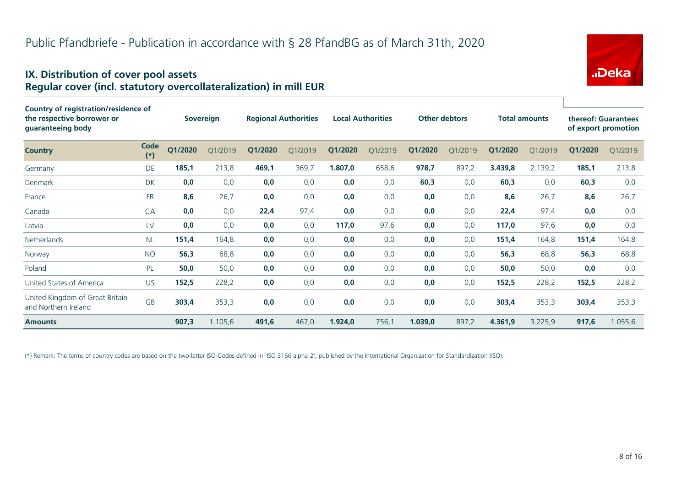#### **IX. Distribution of cover pool assets Regular cover (incl. statutory overcollateralization) in mill EUR**

| Country of registration/residence of                    |               |         |                  |         |                             |         |                          |                      |         |                      |         |                                            |         |
|---------------------------------------------------------|---------------|---------|------------------|---------|-----------------------------|---------|--------------------------|----------------------|---------|----------------------|---------|--------------------------------------------|---------|
| the respective borrower or<br>guaranteeing body         |               |         | <b>Sovereign</b> |         | <b>Regional Authorities</b> |         | <b>Local Authorities</b> | <b>Other debtors</b> |         | <b>Total amounts</b> |         | thereof: Guarantees<br>of export promotion |         |
| <b>Country</b>                                          | Code<br>$(*)$ | Q1/2020 | Q1/2019          | Q1/2020 | Q1/2019                     | Q1/2020 | Q1/2019                  | Q1/2020              | Q1/2019 | Q1/2020              | Q1/2019 | Q1/2020                                    | Q1/2019 |
| Germany                                                 | DE            | 185,1   | 213,8            | 469,1   | 369,7                       | 1.807,0 | 658,6                    | 978,7                | 897,2   | 3.439,8              | 2.139,2 | 185,1                                      | 213,8   |
| <b>Denmark</b>                                          | <b>DK</b>     | 0,0     | 0,0              | 0,0     | 0,0                         | 0,0     | 0,0                      | 60,3                 | 0,0     | 60,3                 | 0,0     | 60,3                                       | 0,0     |
| France                                                  | <b>FR</b>     | 8,6     | 26,7             | 0,0     | 0,0                         | 0,0     | 0,0                      | 0,0                  | 0,0     | 8,6                  | 26,7    | 8,6                                        | 26,7    |
| Canada                                                  | CA            | 0,0     | 0,0              | 22,4    | 97,4                        | 0,0     | 0,0                      | 0,0                  | 0,0     | 22,4                 | 97,4    | 0,0                                        | 0,0     |
| Latvia                                                  | LV            | 0,0     | 0,0              | 0,0     | 0,0                         | 117,0   | 97,6                     | 0,0                  | 0,0     | 117,0                | 97,6    | 0,0                                        | 0,0     |
| Netherlands                                             | <b>NL</b>     | 151,4   | 164,8            | 0,0     | 0,0                         | 0,0     | 0,0                      | 0,0                  | 0,0     | 151,4                | 164,8   | 151,4                                      | 164,8   |
| Norway                                                  | <b>NO</b>     | 56,3    | 68,8             | 0,0     | 0,0                         | 0,0     | 0,0                      | 0,0                  | 0,0     | 56,3                 | 68,8    | 56,3                                       | 68,8    |
| Poland                                                  | PL            | 50,0    | 50,0             | 0,0     | 0,0                         | 0,0     | 0,0                      | 0,0                  | 0,0     | 50,0                 | 50,0    | 0,0                                        | 0,0     |
| United States of America                                | <b>US</b>     | 152,5   | 228,2            | 0,0     | 0,0                         | 0,0     | 0,0                      | 0,0                  | 0,0     | 152,5                | 228,2   | 152,5                                      | 228,2   |
| United Kingdom of Great Britain<br>and Northern Ireland | <b>GB</b>     | 303,4   | 353,3            | 0,0     | 0,0                         | 0,0     | 0,0                      | 0,0                  | 0,0     | 303,4                | 353,3   | 303,4                                      | 353,3   |
| <b>Amounts</b>                                          |               | 907,3   | 1.105,6          | 491,6   | 467,0                       | 1.924,0 | 756,1                    | 1.039,0              | 897,2   | 4.361,9              | 3.225.9 | 917,6                                      | 1.055,6 |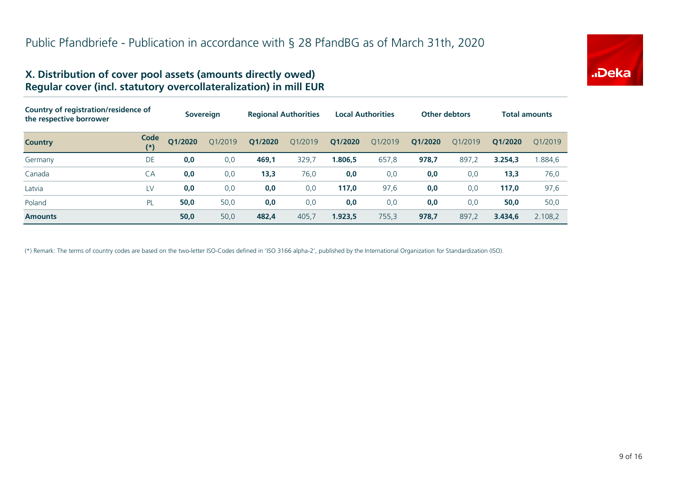

#### **X. Distribution of cover pool assets (amounts directly owed) Regular cover (incl. statutory overcollateralization) in mill EUR**

| Country of registration/residence of<br>the respective borrower |               |         | <b>Sovereign</b> |         | <b>Regional Authorities</b> |         | <b>Local Authorities</b> |         | <b>Other debtors</b> |         | <b>Total amounts</b> |
|-----------------------------------------------------------------|---------------|---------|------------------|---------|-----------------------------|---------|--------------------------|---------|----------------------|---------|----------------------|
| <b>Country</b>                                                  | Code<br>$(*)$ | Q1/2020 | 01/2019          | Q1/2020 | O1/2019                     | Q1/2020 | Q1/2019                  | Q1/2020 | 01/2019              | O1/2020 | 01/2019              |
| Germany                                                         | DE            | 0,0     | 0,0              | 469,1   | 329,7                       | 1.806,5 | 657,8                    | 978,7   | 897,2                | 3.254.3 | 1.884,6              |
| Canada                                                          | CA            | 0,0     | 0,0              | 13,3    | 76,0                        | 0,0     | 0,0                      | 0,0     | 0,0                  | 13,3    | 76,0                 |
| Latvia                                                          | LV            | 0,0     | 0,0              | 0,0     | 0,0                         | 117,0   | 97,6                     | 0,0     | 0,0                  | 117,0   | 97,6                 |
| Poland                                                          | PL            | 50,0    | 50,0             | 0,0     | 0,0                         | 0,0     | 0,0                      | 0,0     | 0,0                  | 50,0    | 50,0                 |
| <b>Amounts</b>                                                  |               | 50,0    | 50,0             | 482,4   | 405,7                       | 1.923,5 | 755,3                    | 978,7   | 897,2                | 3.434.6 | 2.108,2              |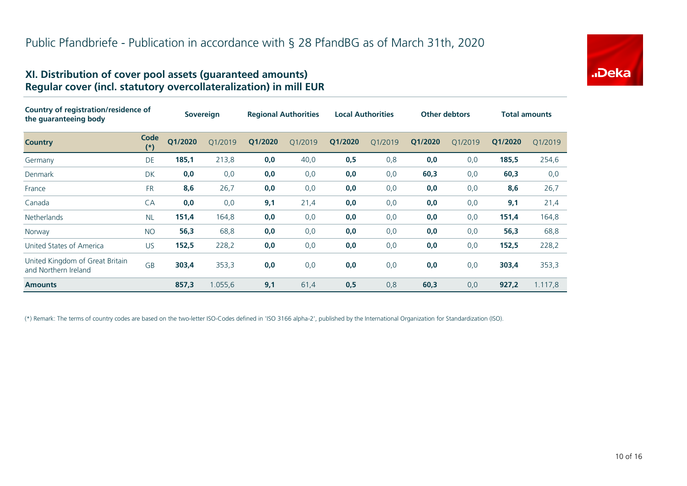#### **XI. Distribution of cover pool assets (guaranteed amounts) Regular cover (incl. statutory overcollateralization) in mill EUR**

| Country of registration/residence of<br>the guaranteeing body |                   | <b>Sovereign</b> |         | <b>Regional Authorities</b> |         | <b>Local Authorities</b> |         | <b>Other debtors</b> |         | <b>Total amounts</b> |         |
|---------------------------------------------------------------|-------------------|------------------|---------|-----------------------------|---------|--------------------------|---------|----------------------|---------|----------------------|---------|
| <b>Country</b>                                                | Code<br>$^{\ast}$ | Q1/2020          | Q1/2019 | Q1/2020                     | O1/2019 | Q1/2020                  | Q1/2019 | Q1/2020              | Q1/2019 | Q1/2020              | Q1/2019 |
| Germany                                                       | DE                | 185,1            | 213,8   | 0,0                         | 40,0    | 0,5                      | 0,8     | 0,0                  | 0,0     | 185,5                | 254,6   |
| Denmark                                                       | <b>DK</b>         | 0,0              | 0,0     | 0,0                         | 0,0     | 0,0                      | 0,0     | 60,3                 | 0,0     | 60,3                 | 0,0     |
| France                                                        | <b>FR</b>         | 8,6              | 26,7    | 0,0                         | 0,0     | 0,0                      | 0,0     | 0,0                  | 0,0     | 8,6                  | 26,7    |
| Canada                                                        | CA                | 0,0              | 0,0     | 9,1                         | 21,4    | 0,0                      | 0,0     | 0,0                  | 0,0     | 9,1                  | 21,4    |
| <b>Netherlands</b>                                            | <b>NL</b>         | 151,4            | 164,8   | 0,0                         | 0,0     | 0,0                      | 0,0     | 0,0                  | 0,0     | 151,4                | 164,8   |
| Norway                                                        | <b>NO</b>         | 56,3             | 68,8    | 0,0                         | 0,0     | 0,0                      | 0,0     | 0,0                  | 0,0     | 56,3                 | 68,8    |
| United States of America                                      | <b>US</b>         | 152,5            | 228,2   | 0,0                         | 0,0     | 0,0                      | 0,0     | 0,0                  | 0,0     | 152,5                | 228,2   |
| United Kingdom of Great Britain<br>and Northern Ireland       | <b>GB</b>         | 303,4            | 353,3   | 0,0                         | 0,0     | 0,0                      | 0,0     | 0,0                  | 0,0     | 303,4                | 353,3   |
| <b>Amounts</b>                                                |                   | 857,3            | 1.055,6 | 9,1                         | 61,4    | 0,5                      | 0,8     | 60,3                 | 0,0     | 927,2                | 1.117,8 |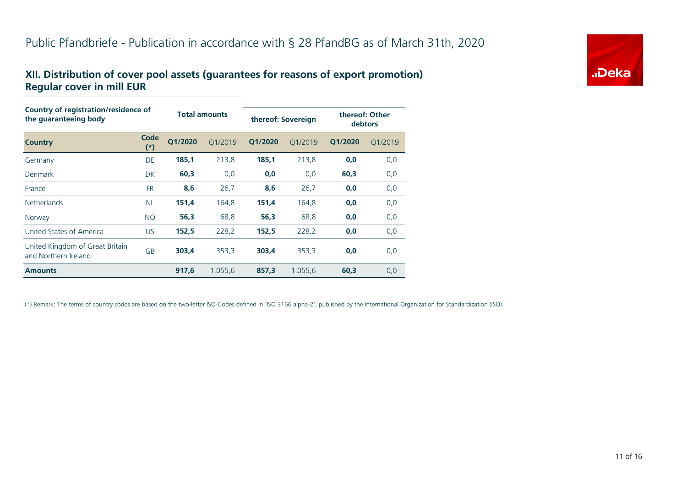#### **XII. Distribution of cover pool assets (guarantees for reasons of export promotion) Regular cover in mill EUR**

| Country of registration/residence of<br>the guaranteeing body |               | <b>Total amounts</b> |         | thereof: Sovereign |         | thereof: Other<br>debtors |         |  |  |  |
|---------------------------------------------------------------|---------------|----------------------|---------|--------------------|---------|---------------------------|---------|--|--|--|
| <b>Country</b>                                                | Code<br>$(*)$ | O1/2020              | O1/2019 | O1/2020            | Q1/2019 | Q1/2020                   | Q1/2019 |  |  |  |
| Germany                                                       | DE            | 185,1                | 213,8   | 185,1              | 213,8   | 0,0                       | 0,0     |  |  |  |
| Denmark                                                       | <b>DK</b>     | 60,3                 | 0,0     | 0,0                | 0,0     | 60,3                      | 0,0     |  |  |  |
| France                                                        | <b>FR</b>     | 8,6                  | 26,7    | 8,6                | 26,7    | 0,0                       | 0,0     |  |  |  |
| <b>Netherlands</b>                                            | <b>NL</b>     | 151,4                | 164,8   | 151,4              | 164,8   | 0,0                       | 0,0     |  |  |  |
| Norway                                                        | <b>NO</b>     | 56,3                 | 68,8    | 56,3               | 68,8    | 0,0                       | 0,0     |  |  |  |
| United States of America                                      | US.           | 152,5                | 228,2   | 152,5              | 228,2   | 0,0                       | 0,0     |  |  |  |
| United Kingdom of Great Britain<br>and Northern Ireland       | GB            | 303,4                | 353,3   | 303,4              | 353,3   | 0,0                       | 0,0     |  |  |  |
| <b>Amounts</b>                                                |               | 917,6                | 1.055,6 | 857,3              | 1.055,6 | 60,3                      | 0,0     |  |  |  |

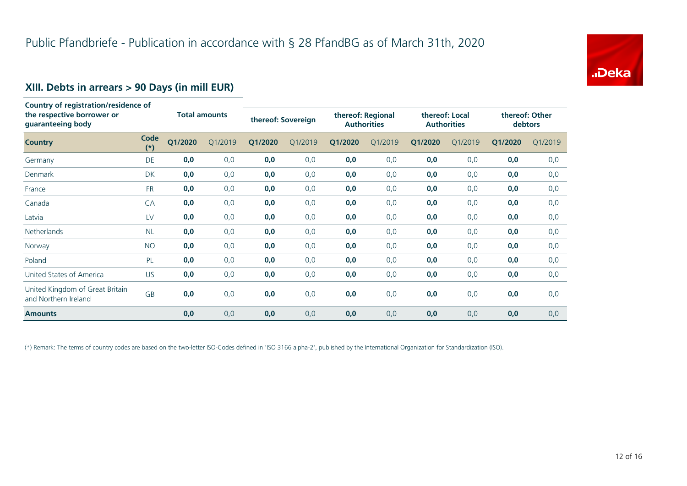

### **XIII. Debts in arrears > 90 Days (in mill EUR)**

| Country of registration/residence of<br>the respective borrower or<br>guaranteeing body |               | <b>Total amounts</b> |         |         | thereof: Sovereign |         | thereof: Regional<br><b>Authorities</b> |         | thereof: Local<br><b>Authorities</b> |         | thereof: Other<br>debtors |  |
|-----------------------------------------------------------------------------------------|---------------|----------------------|---------|---------|--------------------|---------|-----------------------------------------|---------|--------------------------------------|---------|---------------------------|--|
| <b>Country</b>                                                                          | Code<br>$(*)$ | Q1/2020              | Q1/2019 | Q1/2020 | Q1/2019            | Q1/2020 | Q1/2019                                 | Q1/2020 | Q1/2019                              | Q1/2020 | Q1/2019                   |  |
| Germany                                                                                 | <b>DE</b>     | 0,0                  | 0,0     | 0,0     | 0,0                | 0,0     | 0,0                                     | 0,0     | 0,0                                  | 0,0     | 0,0                       |  |
| Denmark                                                                                 | DK            | 0,0                  | 0,0     | 0,0     | 0,0                | 0,0     | 0,0                                     | 0,0     | 0,0                                  | 0,0     | 0,0                       |  |
| France                                                                                  | <b>FR</b>     | 0,0                  | 0,0     | 0,0     | 0,0                | 0,0     | 0,0                                     | 0,0     | 0,0                                  | 0,0     | 0,0                       |  |
| Canada                                                                                  | CA            | 0,0                  | 0,0     | 0,0     | 0,0                | 0,0     | 0,0                                     | 0,0     | 0,0                                  | 0,0     | 0,0                       |  |
| Latvia                                                                                  | LV            | 0,0                  | 0,0     | 0,0     | 0,0                | 0,0     | 0,0                                     | 0,0     | 0,0                                  | 0,0     | 0,0                       |  |
| Netherlands                                                                             | <b>NL</b>     | 0,0                  | 0,0     | 0,0     | 0,0                | 0,0     | 0,0                                     | 0,0     | 0,0                                  | 0,0     | 0,0                       |  |
| Norway                                                                                  | <b>NO</b>     | 0,0                  | 0,0     | 0,0     | 0,0                | 0,0     | 0,0                                     | 0,0     | 0,0                                  | 0,0     | 0,0                       |  |
| Poland                                                                                  | PL            | 0,0                  | 0,0     | 0,0     | 0,0                | 0,0     | 0,0                                     | 0,0     | 0,0                                  | 0,0     | 0,0                       |  |
| United States of America                                                                | US            | 0,0                  | 0,0     | 0,0     | 0,0                | 0,0     | 0,0                                     | 0,0     | 0,0                                  | 0,0     | 0,0                       |  |
| United Kingdom of Great Britain<br>and Northern Ireland                                 | GB            | 0,0                  | 0,0     | 0,0     | 0,0                | 0,0     | 0,0                                     | 0,0     | 0,0                                  | 0,0     | 0,0                       |  |
| <b>Amounts</b>                                                                          |               | 0,0                  | 0,0     | 0,0     | 0,0                | 0,0     | 0,0                                     | 0,0     | 0,0                                  | 0,0     | 0,0                       |  |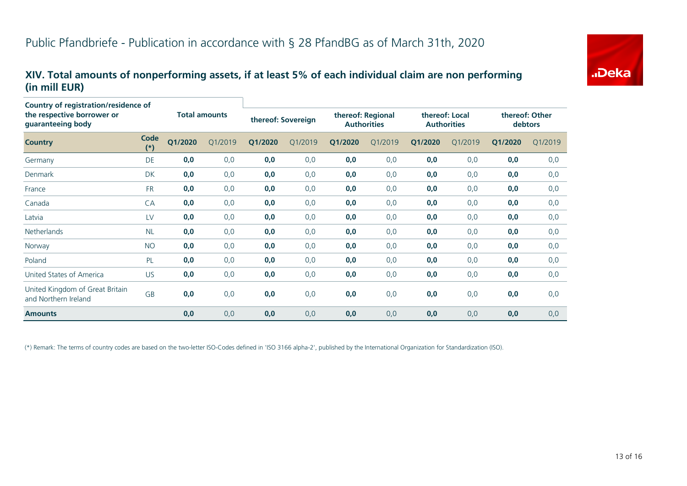#### **XIV. Total amounts of nonperforming assets, if at least 5% of each individual claim are non performing (in mill EUR)**

| <b>Country of registration/residence of</b><br>the respective borrower or<br>guaranteeing body |               | <b>Total amounts</b> |         |         | thereof: Sovereign |         | thereof: Regional<br><b>Authorities</b> |         | thereof: Local<br><b>Authorities</b> |         | thereof: Other<br>debtors |  |
|------------------------------------------------------------------------------------------------|---------------|----------------------|---------|---------|--------------------|---------|-----------------------------------------|---------|--------------------------------------|---------|---------------------------|--|
| <b>Country</b>                                                                                 | Code<br>$(*)$ | Q1/2020              | Q1/2019 | Q1/2020 | Q1/2019            | Q1/2020 | Q1/2019                                 | Q1/2020 | Q1/2019                              | Q1/2020 | Q1/2019                   |  |
| Germany                                                                                        | DE            | 0,0                  | 0,0     | 0,0     | 0,0                | 0,0     | 0,0                                     | 0,0     | 0,0                                  | 0,0     | 0,0                       |  |
| Denmark                                                                                        | DK            | 0,0                  | 0,0     | 0,0     | 0,0                | 0,0     | 0,0                                     | 0,0     | 0,0                                  | 0,0     | 0,0                       |  |
| France                                                                                         | <b>FR</b>     | 0,0                  | 0,0     | 0,0     | 0,0                | 0,0     | 0,0                                     | 0,0     | 0,0                                  | 0,0     | 0,0                       |  |
| Canada                                                                                         | CA            | 0,0                  | 0,0     | 0,0     | 0,0                | 0,0     | 0,0                                     | 0,0     | 0,0                                  | 0,0     | 0,0                       |  |
| Latvia                                                                                         | LV            | 0,0                  | 0,0     | 0,0     | 0,0                | 0,0     | 0,0                                     | 0,0     | 0,0                                  | 0,0     | 0,0                       |  |
| <b>Netherlands</b>                                                                             | <b>NL</b>     | 0,0                  | 0,0     | 0,0     | 0,0                | 0,0     | 0,0                                     | 0,0     | 0,0                                  | 0,0     | 0,0                       |  |
| Norway                                                                                         | <b>NO</b>     | 0,0                  | 0,0     | 0,0     | 0,0                | 0,0     | 0,0                                     | 0,0     | 0,0                                  | 0,0     | 0,0                       |  |
| Poland                                                                                         | PL            | 0,0                  | 0,0     | 0,0     | 0,0                | 0,0     | 0,0                                     | 0,0     | 0,0                                  | 0,0     | 0,0                       |  |
| United States of America                                                                       | <b>US</b>     | 0,0                  | 0,0     | 0,0     | 0,0                | 0,0     | 0,0                                     | 0,0     | 0,0                                  | 0,0     | 0,0                       |  |
| United Kingdom of Great Britain<br>and Northern Ireland                                        | GB            | 0,0                  | 0,0     | 0,0     | 0,0                | 0,0     | 0,0                                     | 0,0     | 0,0                                  | 0,0     | 0,0                       |  |
| <b>Amounts</b>                                                                                 |               | 0,0                  | 0,0     | 0,0     | 0,0                | 0,0     | 0,0                                     | 0,0     | 0,0                                  | 0,0     | 0,0                       |  |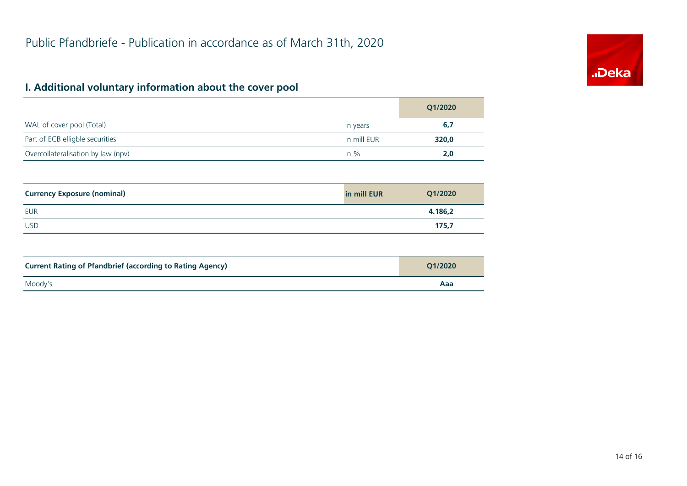## **I. Additional voluntary information about the cover pool**

|                                    |             | Q1/2020 |
|------------------------------------|-------------|---------|
| WAL of cover pool (Total)          | in years    | 6,7     |
| Part of ECB elligble securities    | in mill EUR | 320,0   |
| Overcollateralisation by law (npv) | in $%$      | 2,0     |

| <b>Currency Exposure (nominal)</b> | in mill EUR | Q1/2020 |
|------------------------------------|-------------|---------|
| <b>EUR</b>                         |             | 4.186,2 |
| <b>USD</b>                         |             | 175,7   |

| <b>Current Rating of Pfandbrief (according to Rating Agency)</b> | O1/2020 |
|------------------------------------------------------------------|---------|
| Moody's                                                          | Aaa     |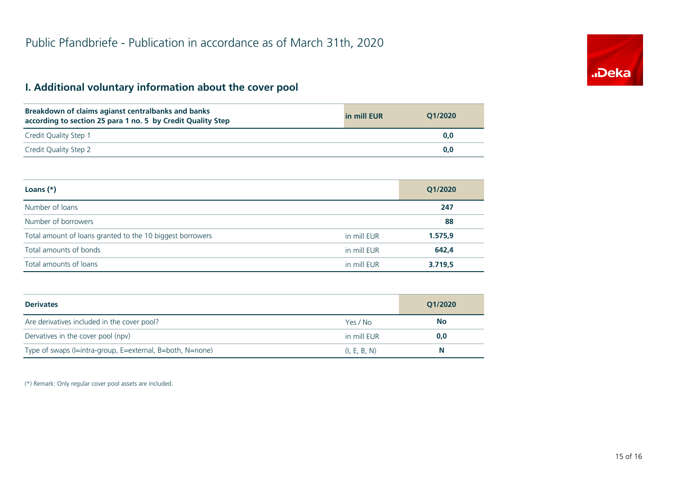#### **I. Additional voluntary information about the cover pool**

| Breakdown of claims agianst centralbanks and banks<br>according to section 25 para 1 no. 5 by Credit Quality Step | in mill EUR | O1/2020 |
|-------------------------------------------------------------------------------------------------------------------|-------------|---------|
| Credit Quality Step 1                                                                                             |             | 0.0     |
| Credit Quality Step 2                                                                                             |             | 0.0     |

| Loans $(*)$                                               |             | Q1/2020 |
|-----------------------------------------------------------|-------------|---------|
| Number of loans                                           |             | 247     |
| Number of borrowers                                       |             | 88      |
| Total amount of loans granted to the 10 biggest borrowers | in mill EUR | 1.575,9 |
| Total amounts of bonds                                    | in mill EUR | 642,4   |
| Total amounts of loans                                    | in mill EUR | 3.719,5 |

| <b>Derivates</b>                                          |              | Q1/2020 |
|-----------------------------------------------------------|--------------|---------|
| Are derivatives included in the cover pool?               | Yes / No     | No      |
| Dervatives in the cover pool (npv)                        | in mill EUR  | 0,0     |
| Type of swaps (I=intra-group, E=external, B=both, N=none) | (I, E, B, N) | Ν       |

(\*) Remark: Only regular cover pool assets are included.